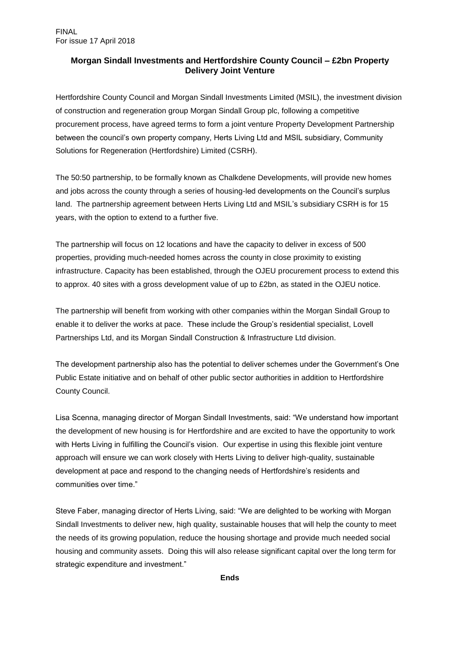# **Morgan Sindall Investments and Hertfordshire County Council – £2bn Property Delivery Joint Venture**

Hertfordshire County Council and Morgan Sindall Investments Limited (MSIL), the investment division of construction and regeneration group Morgan Sindall Group plc, following a competitive procurement process, have agreed terms to form a joint venture Property Development Partnership between the council's own property company, Herts Living Ltd and MSIL subsidiary, Community Solutions for Regeneration (Hertfordshire) Limited (CSRH).

The 50:50 partnership, to be formally known as Chalkdene Developments, will provide new homes and jobs across the county through a series of housing-led developments on the Council's surplus land. The partnership agreement between Herts Living Ltd and MSIL's subsidiary CSRH is for 15 years, with the option to extend to a further five.

The partnership will focus on 12 locations and have the capacity to deliver in excess of 500 properties, providing much-needed homes across the county in close proximity to existing infrastructure. Capacity has been established, through the OJEU procurement process to extend this to approx. 40 sites with a gross development value of up to £2bn, as stated in the OJEU notice.

The partnership will benefit from working with other companies within the Morgan Sindall Group to enable it to deliver the works at pace. These include the Group's residential specialist, Lovell Partnerships Ltd, and its Morgan Sindall Construction & Infrastructure Ltd division.

The development partnership also has the potential to deliver schemes under the Government's One Public Estate initiative and on behalf of other public sector authorities in addition to Hertfordshire County Council.

Lisa Scenna, managing director of Morgan Sindall Investments, said: "We understand how important the development of new housing is for Hertfordshire and are excited to have the opportunity to work with Herts Living in fulfilling the Council's vision. Our expertise in using this flexible joint venture approach will ensure we can work closely with Herts Living to deliver high-quality, sustainable development at pace and respond to the changing needs of Hertfordshire's residents and communities over time."

Steve Faber, managing director of Herts Living, said: "We are delighted to be working with Morgan Sindall Investments to deliver new, high quality, sustainable houses that will help the county to meet the needs of its growing population, reduce the housing shortage and provide much needed social housing and community assets. Doing this will also release significant capital over the long term for strategic expenditure and investment."